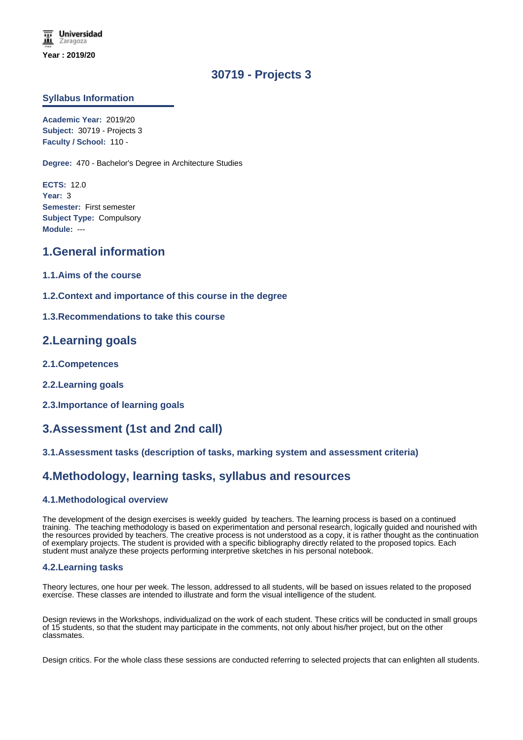# **30719 - Projects 3**

### **Syllabus Information**

**Academic Year:** 2019/20 **Subject:** 30719 - Projects 3 **Faculty / School:** 110 -

**Degree:** 470 - Bachelor's Degree in Architecture Studies

**ECTS:** 12.0 **Year:** 3 **Semester:** First semester **Subject Type:** Compulsory **Module:** ---

## **1.General information**

- **1.1.Aims of the course**
- **1.2.Context and importance of this course in the degree**
- **1.3.Recommendations to take this course**

### **2.Learning goals**

- **2.1.Competences**
- **2.2.Learning goals**
- **2.3.Importance of learning goals**

# **3.Assessment (1st and 2nd call)**

#### **3.1.Assessment tasks (description of tasks, marking system and assessment criteria)**

## **4.Methodology, learning tasks, syllabus and resources**

#### **4.1.Methodological overview**

The development of the design exercises is weekly guided by teachers. The learning process is based on a continued training. The teaching methodology is based on experimentation and personal research, logically guided and nourished with the resources provided by teachers. The creative process is not understood as a copy, it is rather thought as the continuation of exemplary projects. The student is provided with a specific bibliography directly related to the proposed topics. Each student must analyze these projects performing interpretive sketches in his personal notebook.

#### **4.2.Learning tasks**

Theory lectures, one hour per week. The lesson, addressed to all students, will be based on issues related to the proposed exercise. These classes are intended to illustrate and form the visual intelligence of the student.

Design reviews in the Workshops, individualizad on the work of each student. These critics will be conducted in small groups of 15 students, so that the student may participate in the comments, not only about his/her project, but on the other classmates.

Design critics. For the whole class these sessions are conducted referring to selected projects that can enlighten all students.